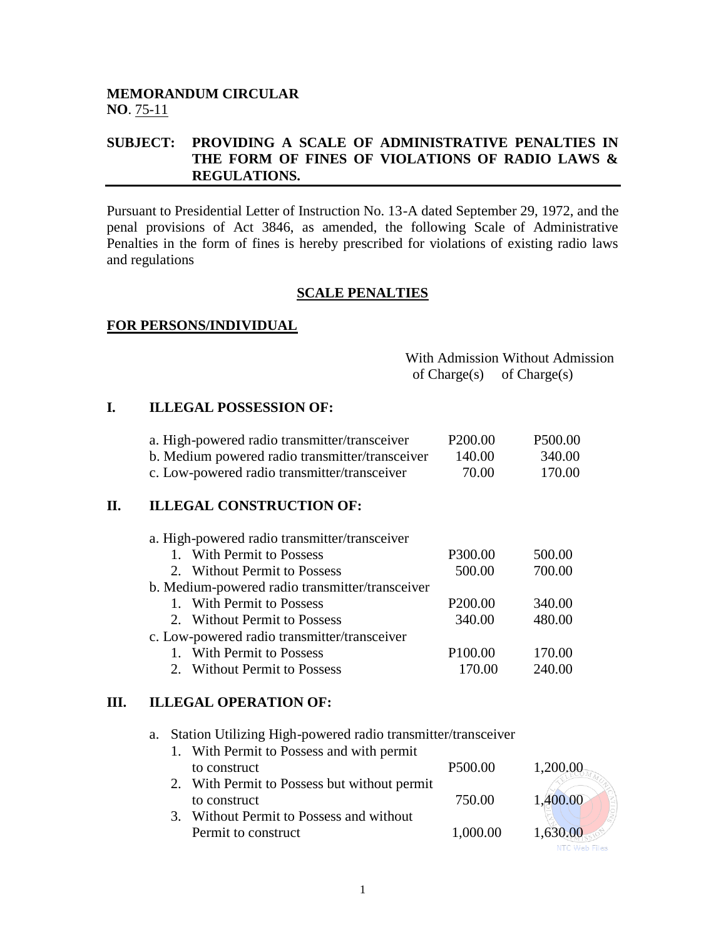### **MEMORANDUM CIRCULAR NO**. 75-11

### **SUBJECT: PROVIDING A SCALE OF ADMINISTRATIVE PENALTIES IN THE FORM OF FINES OF VIOLATIONS OF RADIO LAWS & REGULATIONS.**

Pursuant to Presidential Letter of Instruction No. 13-A dated September 29, 1972, and the penal provisions of Act 3846, as amended, the following Scale of Administrative Penalties in the form of fines is hereby prescribed for violations of existing radio laws and regulations

### **SCALE PENALTIES**

### **FOR PERSONS/INDIVIDUAL**

|                               | With Admission Without Admission |
|-------------------------------|----------------------------------|
| of $Change(s)$ of $Change(s)$ |                                  |

### **I. ILLEGAL POSSESSION OF:**

| a. High-powered radio transmitter/transceiver   | P <sub>200.00</sub> | P500.00 |
|-------------------------------------------------|---------------------|---------|
| b. Medium powered radio transmitter/transceiver | 140.00              | 340.00  |
| c. Low-powered radio transmitter/transceiver    | 70.00               | 170.00  |

### **II. ILLEGAL CONSTRUCTION OF:**

| a. High-powered radio transmitter/transceiver   |                     |        |
|-------------------------------------------------|---------------------|--------|
| 1. With Permit to Possess                       | P300.00             | 500.00 |
| 2. Without Permit to Possess                    | 500.00              | 700.00 |
| b. Medium-powered radio transmitter/transceiver |                     |        |
| 1. With Permit to Possess                       | P <sub>200.00</sub> | 340.00 |
| 2. Without Permit to Possess                    | 340.00              | 480.00 |
| c. Low-powered radio transmitter/transceiver    |                     |        |
| 1. With Permit to Possess                       | P <sub>100.00</sub> | 170.00 |
| 2. Without Permit to Possess                    |                     | 240.00 |

### **III. ILLEGAL OPERATION OF:**

a. Station Utilizing High-powered radio transmitter/transceiver

| 1. With Permit to Possess and with permit    |                     |          |
|----------------------------------------------|---------------------|----------|
| to construct                                 | P <sub>500.00</sub> | 1,200.00 |
| 2. With Permit to Possess but without permit |                     |          |
| to construct                                 | 750.00              | 1,400.00 |
| 3. Without Permit to Possess and without     |                     |          |
| Permit to construct                          | 1,000.00            | 1,630.00 |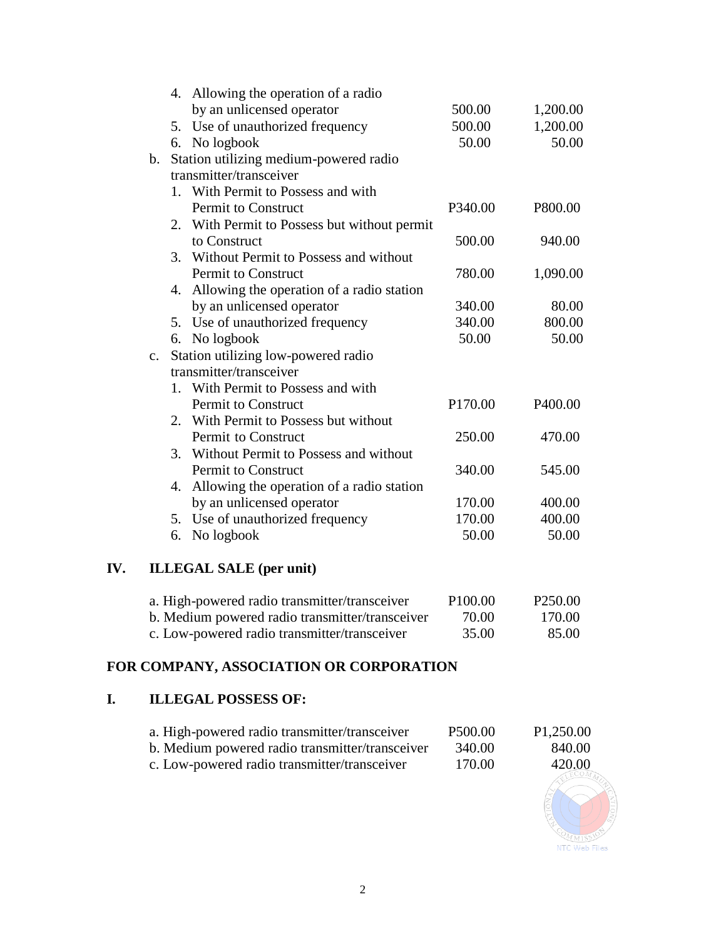|                |    | 4. Allowing the operation of a radio         |         |          |
|----------------|----|----------------------------------------------|---------|----------|
|                |    | by an unlicensed operator                    | 500.00  | 1,200.00 |
|                |    | 5. Use of unauthorized frequency             | 500.00  | 1,200.00 |
|                |    | 6. No logbook                                | 50.00   | 50.00    |
| b.             |    | Station utilizing medium-powered radio       |         |          |
|                |    | transmitter/transceiver                      |         |          |
|                |    | 1. With Permit to Possess and with           |         |          |
|                |    | <b>Permit to Construct</b>                   | P340.00 | P800.00  |
|                |    | 2. With Permit to Possess but without permit |         |          |
|                |    | to Construct                                 | 500.00  | 940.00   |
|                |    | 3. Without Permit to Possess and without     |         |          |
|                |    | <b>Permit to Construct</b>                   | 780.00  | 1,090.00 |
|                | 4. | Allowing the operation of a radio station    |         |          |
|                |    | by an unlicensed operator                    | 340.00  | 80.00    |
|                |    | 5. Use of unauthorized frequency             | 340.00  | 800.00   |
|                |    | 6. No logbook                                | 50.00   | 50.00    |
| $\mathbf{c}$ . |    | Station utilizing low-powered radio          |         |          |
|                |    | transmitter/transceiver                      |         |          |
|                |    | 1. With Permit to Possess and with           |         |          |
|                |    | Permit to Construct                          | P170.00 | P400.00  |
|                |    | 2. With Permit to Possess but without        |         |          |
|                |    | Permit to Construct                          | 250.00  | 470.00   |
|                |    | 3. Without Permit to Possess and without     |         |          |
|                |    | <b>Permit to Construct</b>                   | 340.00  | 545.00   |
|                | 4. | Allowing the operation of a radio station    |         |          |
|                |    | by an unlicensed operator                    | 170.00  | 400.00   |
|                |    | 5. Use of unauthorized frequency             | 170.00  | 400.00   |
|                | 6. | No logbook                                   | 50.00   | 50.00    |
|                |    |                                              |         |          |

# **IV. ILLEGAL SALE (per unit)**

| a. High-powered radio transmitter/transceiver   | P <sub>100.00</sub> | P <sub>250.00</sub> |
|-------------------------------------------------|---------------------|---------------------|
| b. Medium powered radio transmitter/transceiver | 70.00               | 170.00              |
| c. Low-powered radio transmitter/transceiver    | 35.00               | 85.00               |

# **FOR COMPANY, ASSOCIATION OR CORPORATION**

### **I. ILLEGAL POSSESS OF:**

| a. High-powered radio transmitter/transceiver   | P <sub>500.00</sub> | P1,250.00 |
|-------------------------------------------------|---------------------|-----------|
| b. Medium powered radio transmitter/transceiver | 340.00              | 840.00    |
| c. Low-powered radio transmitter/transceiver    | 170.00              | 420.00    |

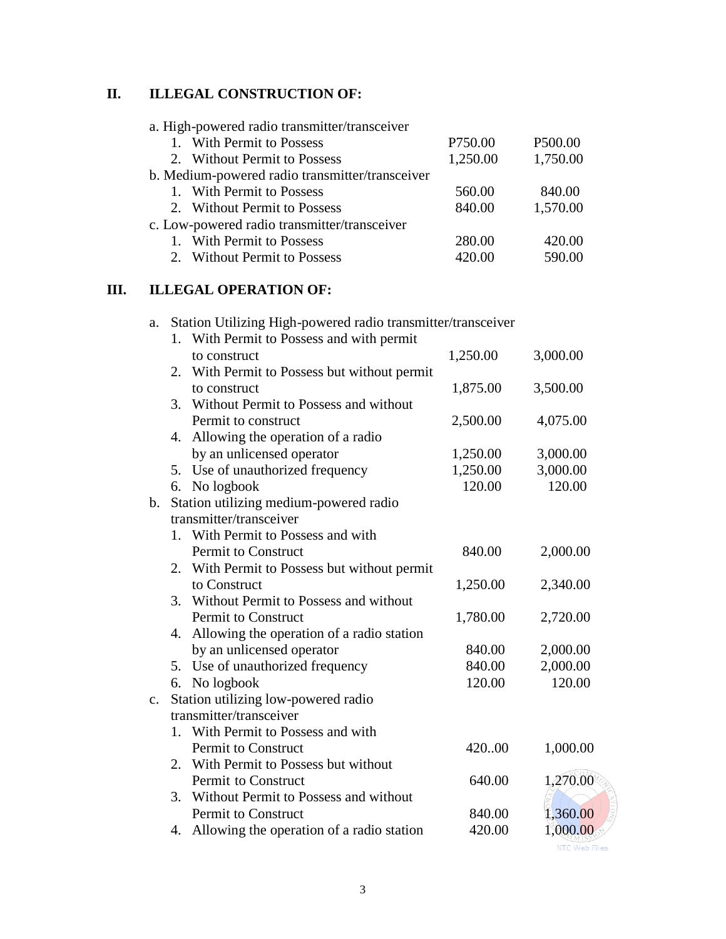## **II. ILLEGAL CONSTRUCTION OF:**

|    | a. High-powered radio transmitter/transceiver                      |          |               |
|----|--------------------------------------------------------------------|----------|---------------|
|    | 1. With Permit to Possess                                          | P750.00  | P500.00       |
|    | 2. Without Permit to Possess                                       | 1,250.00 | 1,750.00      |
|    | b. Medium-powered radio transmitter/transceiver                    |          |               |
|    | 1. With Permit to Possess                                          | 560.00   | 840.00        |
|    | 2. Without Permit to Possess                                       | 840.00   | 1,570.00      |
|    | c. Low-powered radio transmitter/transceiver                       |          |               |
|    | 1. With Permit to Possess                                          | 280.00   | 420.00        |
|    | 2. Without Permit to Possess                                       | 420.00   | 590.00        |
| Ш. | <b>ILLEGAL OPERATION OF:</b>                                       |          |               |
|    | Station Utilizing High-powered radio transmitter/transceiver<br>a. |          |               |
|    | 1. With Permit to Possess and with permit                          |          |               |
|    | to construct                                                       | 1,250.00 | 3,000.00      |
|    | 2. With Permit to Possess but without permit                       |          |               |
|    | to construct                                                       | 1,875.00 | 3,500.00      |
|    | 3. Without Permit to Possess and without                           |          |               |
|    | Permit to construct                                                | 2,500.00 | 4,075.00      |
|    | 4. Allowing the operation of a radio                               |          |               |
|    | by an unlicensed operator                                          | 1,250.00 | 3,000.00      |
|    | 5. Use of unauthorized frequency                                   | 1,250.00 | 3,000.00      |
|    | No logbook<br>6.                                                   | 120.00   | 120.00        |
|    | b. Station utilizing medium-powered radio                          |          |               |
|    | transmitter/transceiver                                            |          |               |
|    | 1. With Permit to Possess and with                                 |          |               |
|    | Permit to Construct                                                | 840.00   | 2,000.00      |
|    | 2. With Permit to Possess but without permit                       |          |               |
|    | to Construct                                                       | 1,250.00 | 2,340.00      |
|    | 3. Without Permit to Possess and without                           |          |               |
|    | <b>Permit to Construct</b>                                         | 1,780.00 | 2,720.00      |
|    | 4. Allowing the operation of a radio station                       |          |               |
|    | by an unlicensed operator                                          | 840.00   | 2,000.00      |
|    | 5. Use of unauthorized frequency                                   | 840.00   | 2,000.00      |
|    | No logbook<br>6.                                                   | 120.00   | 120.00        |
|    | Station utilizing low-powered radio<br>$\mathbf{c}$ .              |          |               |
|    | transmitter/transceiver                                            |          |               |
|    | 1. With Permit to Possess and with                                 |          |               |
|    | Permit to Construct                                                | 420.00   | 1,000.00      |
|    | 2. With Permit to Possess but without                              |          |               |
|    | Permit to Construct                                                | 640.00   | 1,270.00      |
|    | 3. Without Permit to Possess and without                           |          |               |
|    | Permit to Construct                                                | 840.00   | 1,360.00      |
|    | Allowing the operation of a radio station<br>4.                    | 420.00   | 1,000.00      |
|    |                                                                    |          | NTC Web Files |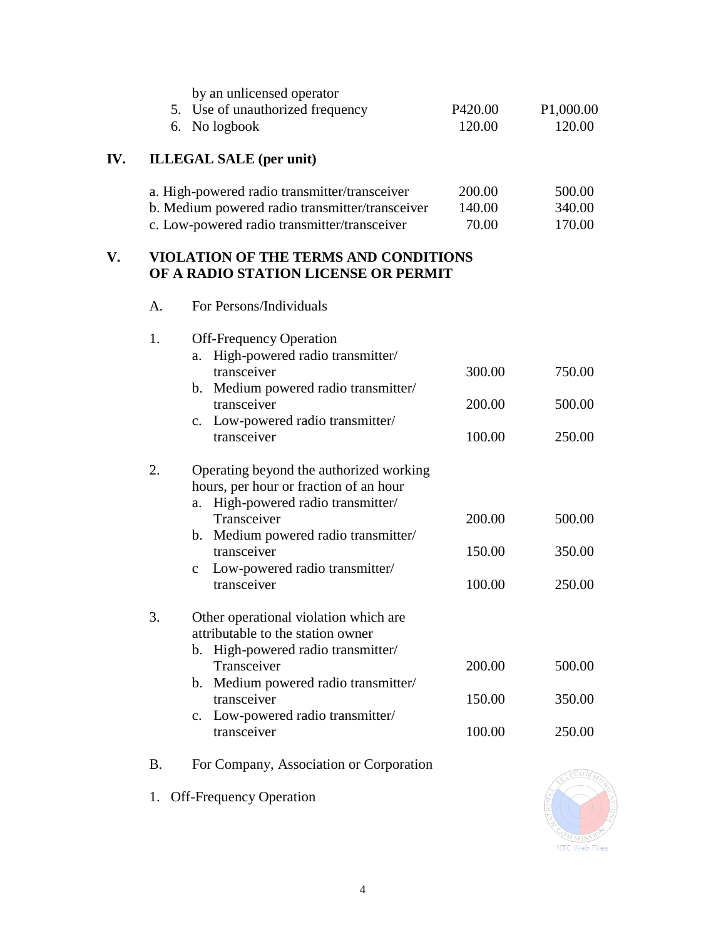|     | 6.        | by an unlicensed operator<br>5. Use of unauthorized frequency<br>No logbook                                                                                                                                                                                              | P420.00<br>120.00          | P <sub>1</sub> ,000.00<br>120.00 |
|-----|-----------|--------------------------------------------------------------------------------------------------------------------------------------------------------------------------------------------------------------------------------------------------------------------------|----------------------------|----------------------------------|
| IV. |           | <b>ILLEGAL SALE</b> (per unit)                                                                                                                                                                                                                                           |                            |                                  |
|     |           | a. High-powered radio transmitter/transceiver<br>b. Medium powered radio transmitter/transceiver<br>c. Low-powered radio transmitter/transceiver                                                                                                                         | 200.00<br>140.00<br>70.00  | 500.00<br>340.00<br>170.00       |
| V.  |           | VIOLATION OF THE TERMS AND CONDITIONS<br>OF A RADIO STATION LICENSE OR PERMIT                                                                                                                                                                                            |                            |                                  |
|     | A.        | For Persons/Individuals                                                                                                                                                                                                                                                  |                            |                                  |
|     | 1.        | <b>Off-Frequency Operation</b><br>High-powered radio transmitter/<br>a.<br>transceiver<br>b. Medium powered radio transmitter/<br>transceiver<br>c. Low-powered radio transmitter/<br>transceiver                                                                        | 300.00<br>200.00<br>100.00 | 750.00<br>500.00<br>250.00       |
|     | 2.        | Operating beyond the authorized working<br>hours, per hour or fraction of an hour<br>High-powered radio transmitter/<br>a.<br>Transceiver<br>b. Medium powered radio transmitter/<br>transceiver<br>Low-powered radio transmitter/<br>$\mathbf{C}$<br>transceiver        | 200.00<br>150.00<br>100.00 | 500.00<br>350.00<br>250.00       |
|     | 3.        | Other operational violation which are<br>attributable to the station owner<br>High-powered radio transmitter/<br>$\mathbf{b}$ .<br>Transceiver<br>Medium powered radio transmitter/<br>$\mathbf{b}$ .<br>transceiver<br>c. Low-powered radio transmitter/<br>transceiver | 200.00<br>150.00<br>100.00 | 500.00<br>350.00<br>250.00       |
|     | <b>B.</b> | For Company, Association or Corporation                                                                                                                                                                                                                                  |                            | ECOM)                            |

1. Off-Frequency Operation

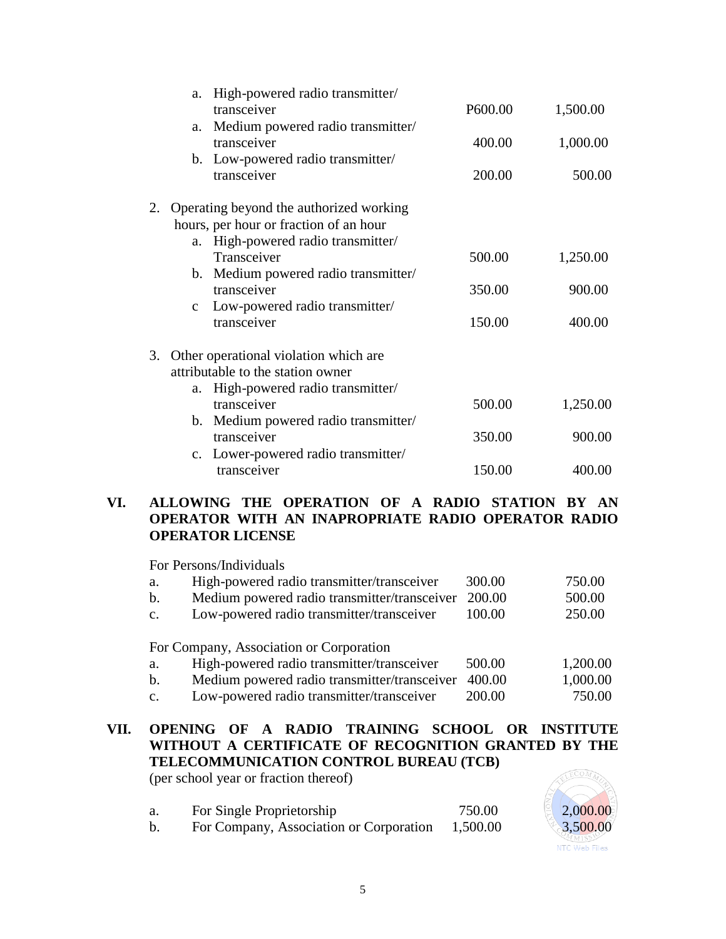|    | a.           | High-powered radio transmitter/<br>transceiver | P600.00 | 1,500.00 |
|----|--------------|------------------------------------------------|---------|----------|
|    | a.           | Medium powered radio transmitter/              |         |          |
|    |              | transceiver                                    | 400.00  | 1,000.00 |
|    |              | b. Low-powered radio transmitter/              |         |          |
|    |              | transceiver                                    | 200.00  | 500.00   |
| 2. |              | Operating beyond the authorized working        |         |          |
|    |              | hours, per hour or fraction of an hour         |         |          |
|    | a.           | High-powered radio transmitter/                |         |          |
|    |              | Transceiver                                    | 500.00  | 1,250.00 |
|    |              | b. Medium powered radio transmitter/           |         |          |
|    |              | transceiver                                    | 350.00  | 900.00   |
|    | $\mathbf{C}$ | Low-powered radio transmitter/                 |         |          |
|    |              | transceiver                                    | 150.00  | 400.00   |
| 3. |              | Other operational violation which are          |         |          |
|    |              | attributable to the station owner              |         |          |
|    | a.           | High-powered radio transmitter/                |         |          |
|    |              | transceiver                                    | 500.00  | 1,250.00 |
|    |              | b. Medium powered radio transmitter/           |         |          |
|    |              | transceiver                                    | 350.00  | 900.00   |
|    |              | c. Lower-powered radio transmitter/            |         |          |
|    |              | transceiver                                    | 150.00  | 400.00   |
|    |              |                                                |         |          |

### **VI. ALLOWING THE OPERATION OF A RADIO STATION BY AN OPERATOR WITH AN INAPROPRIATE RADIO OPERATOR RADIO OPERATOR LICENSE**

For Persons/Individuals

| а.             | High-powered radio transmitter/transceiver                                            | 300.00 | 750.00   |
|----------------|---------------------------------------------------------------------------------------|--------|----------|
| $\mathbf{b}$ . | Medium powered radio transmitter/transceiver                                          | 200.00 | 500.00   |
| C <sub>1</sub> | Low-powered radio transmitter/transceiver                                             | 100.00 | 250.00   |
| a.             | For Company, Association or Corporation<br>High-powered radio transmitter/transceiver | 500.00 | 1,200.00 |

- b. Medium powered radio transmitter/transceiver 400.00 1,000.00
- c. Low-powered radio transmitter/transceiver 200.00 750.00

# **VII. OPENING OF A RADIO TRAINING SCHOOL OR INSTITUTE WITHOUT A CERTIFICATE OF RECOGNITION GRANTED BY THE TELECOMMUNICATION CONTROL BUREAU (TCB)**

(per school year or fraction thereof)

| For Single Proprietorship |  |  | 750.00                             | 2,000.00                    |  |
|---------------------------|--|--|------------------------------------|-----------------------------|--|
|                           |  |  | $\sim$ $\sim$ $\sim$ $\sim$ $\sim$ | $\sim$ $\sim$ $\sim$ $\sim$ |  |

b. For Company, Association or Corporation 1,500.00 3,500.00